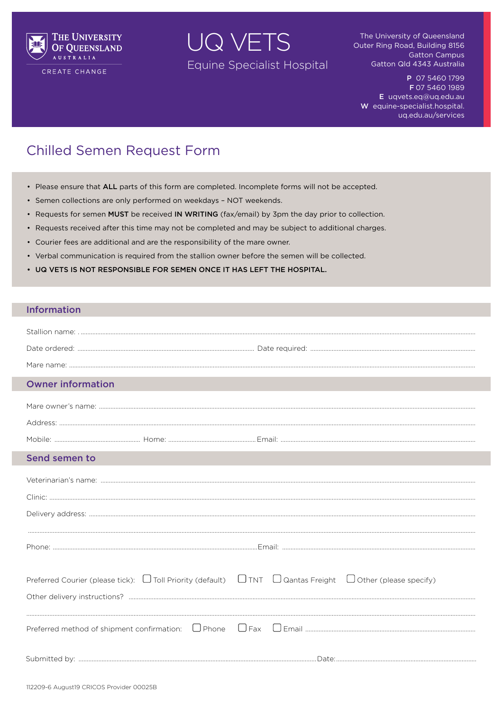

CREATE CHANGE

UQ VETS Equine Specialist Hospital

The University of Queensland Outer Ring Road, Building 8156 **Gatton Campus** Gatton Qld 4343 Australia

P 07 5460 1799 F 07 5460 1989 E uqvets.eq@uq.edu.au W equine-specialist.hospital. uq.edu.au/services

## **Chilled Semen Request Form**

- Please ensure that ALL parts of this form are completed. Incomplete forms will not be accepted.
- Semen collections are only performed on weekdays NOT weekends.
- Requests for semen MUST be received IN WRITING (fax/email) by 3pm the day prior to collection.
- Requests received after this time may not be completed and may be subject to additional charges.
- Courier fees are additional and are the responsibility of the mare owner.
- Verbal communication is required from the stallion owner before the semen will be collected.
- UQ VETS IS NOT RESPONSIBLE FOR SEMEN ONCE IT HAS LEFT THE HOSPITAL.

## **Information**

| <b>Owner information</b>                                                                                                       |  |
|--------------------------------------------------------------------------------------------------------------------------------|--|
|                                                                                                                                |  |
|                                                                                                                                |  |
|                                                                                                                                |  |
| Send semen to                                                                                                                  |  |
|                                                                                                                                |  |
|                                                                                                                                |  |
|                                                                                                                                |  |
|                                                                                                                                |  |
|                                                                                                                                |  |
| Preferred Courier (please tick): $\Box$ Toll Priority (default) $\Box$ TNT $\Box$ Qantas Freight $\Box$ Other (please specify) |  |
|                                                                                                                                |  |
|                                                                                                                                |  |
|                                                                                                                                |  |